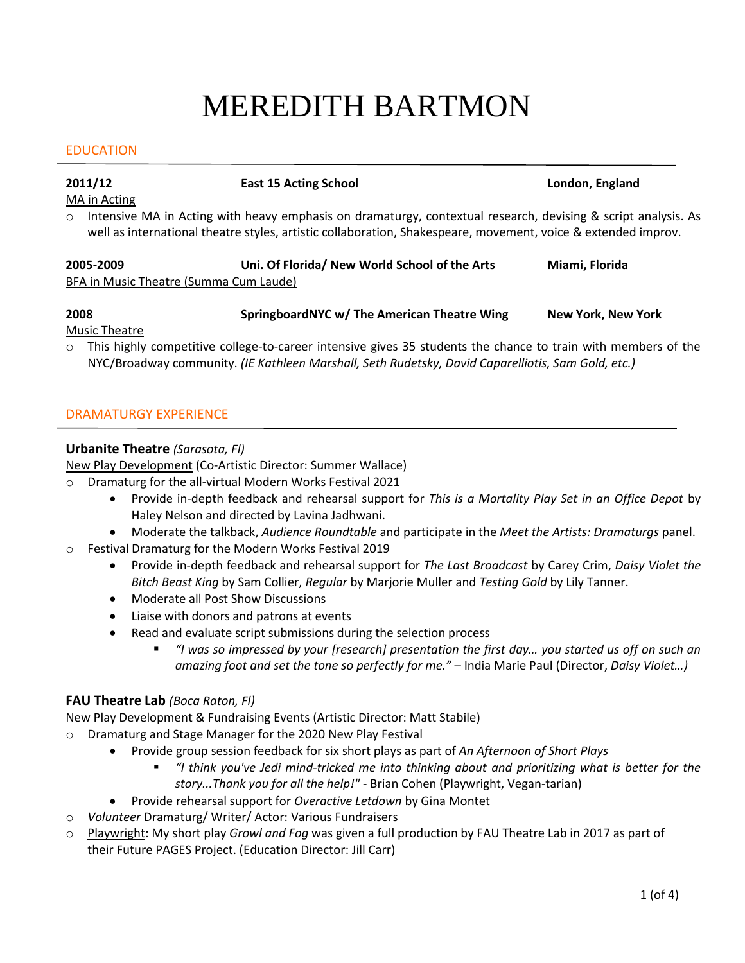# MEREDITH BARTMON

### EDUCATION

**2011/12 East 15 Acting School London, England**

MA in Acting

o Intensive MA in Acting with heavy emphasis on dramaturgy, contextual research, devising & script analysis. As well as international theatre styles, artistic collaboration, Shakespeare, movement, voice & extended improv.

| 2005-2009                              | Uni. Of Florida/ New World School of the Arts | Miami. Florida |
|----------------------------------------|-----------------------------------------------|----------------|
| BFA in Music Theatre (Summa Cum Laude) |                                               |                |

## **2008 SpringboardNYC w/ The American Theatre Wing New York, New York**

Music Theatre

o This highly competitive college-to-career intensive gives 35 students the chance to train with members of the NYC/Broadway community. *(IE Kathleen Marshall, Seth Rudetsky, David Caparelliotis, Sam Gold, etc.)*

### DRAMATURGY EXPERIENCE

### **Urbanite Theatre** *(Sarasota, Fl)*

New Play Development (Co-Artistic Director: Summer Wallace)

o Dramaturg for the all-virtual Modern Works Festival 2021

- Provide in-depth feedback and rehearsal support for *This is a Mortality Play Set in an Office Depot* by Haley Nelson and directed by Lavina Jadhwani.
- Moderate the talkback, *Audience Roundtable* and participate in the *Meet the Artists: Dramaturgs* panel.
- o Festival Dramaturg for the Modern Works Festival 2019
	- Provide in-depth feedback and rehearsal support for *The Last Broadcast* by Carey Crim, *Daisy Violet the Bitch Beast King* by Sam Collier, *Regular* by Marjorie Muller and *Testing Gold* by Lily Tanner.
	- Moderate all Post Show Discussions
	- Liaise with donors and patrons at events
	- Read and evaluate script submissions during the selection process
		- *"I was so impressed by your [research] presentation the first day… you started us off on such an amazing foot and set the tone so perfectly for me."* – India Marie Paul (Director, *Daisy Violet…)*

### **FAU Theatre Lab** *(Boca Raton, Fl)*

New Play Development & Fundraising Events (Artistic Director: Matt Stabile)

- o Dramaturg and Stage Manager for the 2020 New Play Festival
	- Provide group session feedback for six short plays as part of *An Afternoon of Short Plays*
		- *"I think you've Jedi mind-tricked me into thinking about and prioritizing what is better for the story...Thank you for all the help!"* - Brian Cohen (Playwright, Vegan-tarian)
	- Provide rehearsal support for *Overactive Letdown* by Gina Montet
- o *Volunteer* Dramaturg/ Writer/ Actor: Various Fundraisers
- o Playwright: My short play *Growl and Fog* was given a full production by FAU Theatre Lab in 2017 as part of their Future PAGES Project. (Education Director: Jill Carr)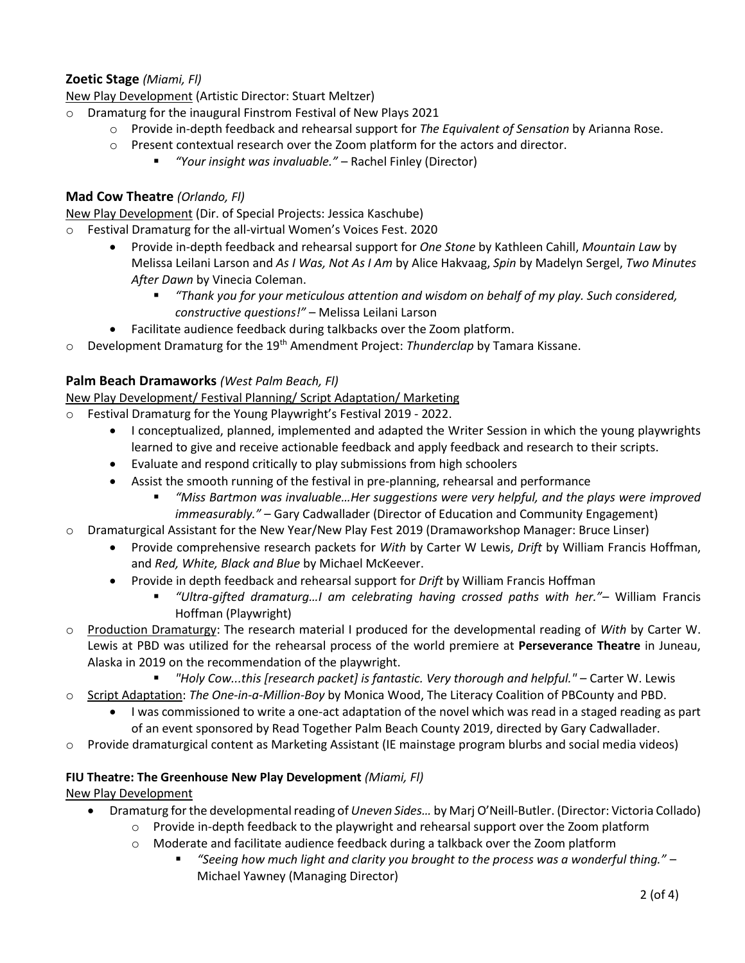### **Zoetic Stage** *(Miami, Fl)*

New Play Development (Artistic Director: Stuart Meltzer)

- o Dramaturg for the inaugural Finstrom Festival of New Plays 2021
	- o Provide in-depth feedback and rehearsal support for *The Equivalent of Sensation* by Arianna Rose.
	- o Present contextual research over the Zoom platform for the actors and director.
		- *"Your insight was invaluable."*  Rachel Finley (Director)

### **Mad Cow Theatre** *(Orlando, Fl)*

New Play Development (Dir. of Special Projects: Jessica Kaschube)

- Festival Dramaturg for the all-virtual Women's Voices Fest. 2020
	- Provide in-depth feedback and rehearsal support for *One Stone* by Kathleen Cahill, *Mountain Law* by Melissa Leilani Larson and *As I Was, Not As I Am* by Alice Hakvaag, *Spin* by Madelyn Sergel, *Two Minutes After Dawn* by Vinecia Coleman.
		- *"Thank you for your meticulous attention and wisdom on behalf of my play. Such considered, constructive questions!"* – Melissa Leilani Larson
	- Facilitate audience feedback during talkbacks over the Zoom platform.
- o Development Dramaturg for the 19th Amendment Project: *Thunderclap* by Tamara Kissane.

### **Palm Beach Dramaworks** *(West Palm Beach, Fl)*

New Play Development/ Festival Planning/ Script Adaptation/ Marketing

- Festival Dramaturg for the Young Playwright's Festival 2019 2022.
	- I conceptualized, planned, implemented and adapted the Writer Session in which the young playwrights learned to give and receive actionable feedback and apply feedback and research to their scripts.
	- Evaluate and respond critically to play submissions from high schoolers
	- Assist the smooth running of the festival in pre-planning, rehearsal and performance
		- *"Miss Bartmon was invaluable…Her suggestions were very helpful, and the plays were improved immeasurably."* – Gary Cadwallader (Director of Education and Community Engagement)
- o Dramaturgical Assistant for the New Year/New Play Fest 2019 (Dramaworkshop Manager: Bruce Linser)
	- Provide comprehensive research packets for *With* by Carter W Lewis, *Drift* by William Francis Hoffman, and *Red, White, Black and Blue* by Michael McKeever.
	- Provide in depth feedback and rehearsal support for *Drift* by William Francis Hoffman
		- *"Ultra-gifted dramaturg…I am celebrating having crossed paths with her."–* William Francis Hoffman (Playwright)
- o Production Dramaturgy: The research material I produced for the developmental reading of *With* by Carter W. Lewis at PBD was utilized for the rehearsal process of the world premiere at **Perseverance Theatre** in Juneau, Alaska in 2019 on the recommendation of the playwright.
	- *"Holy Cow...this [research packet] is fantastic. Very thorough and helpful."* Carter W. Lewis
- o Script Adaptation: *The One-in-a-Million-Boy* by Monica Wood, The Literacy Coalition of PBCounty and PBD.
	- I was commissioned to write a one-act adaptation of the novel which was read in a staged reading as part of an event sponsored by Read Together Palm Beach County 2019, directed by Gary Cadwallader.
- $\circ$  Provide dramaturgical content as Marketing Assistant (IE mainstage program blurbs and social media videos)

### **FIU Theatre: The Greenhouse New Play Development** *(Miami, Fl)*

### New Play Development

- Dramaturg for the developmental reading of *Uneven Sides…* by Marj O'Neill-Butler. (Director: Victoria Collado)
	- $\circ$  Provide in-depth feedback to the playwright and rehearsal support over the Zoom platform
	- $\circ$  Moderate and facilitate audience feedback during a talkback over the Zoom platform
		- *"Seeing how much light and clarity you brought to the process was a wonderful thing."* Michael Yawney (Managing Director)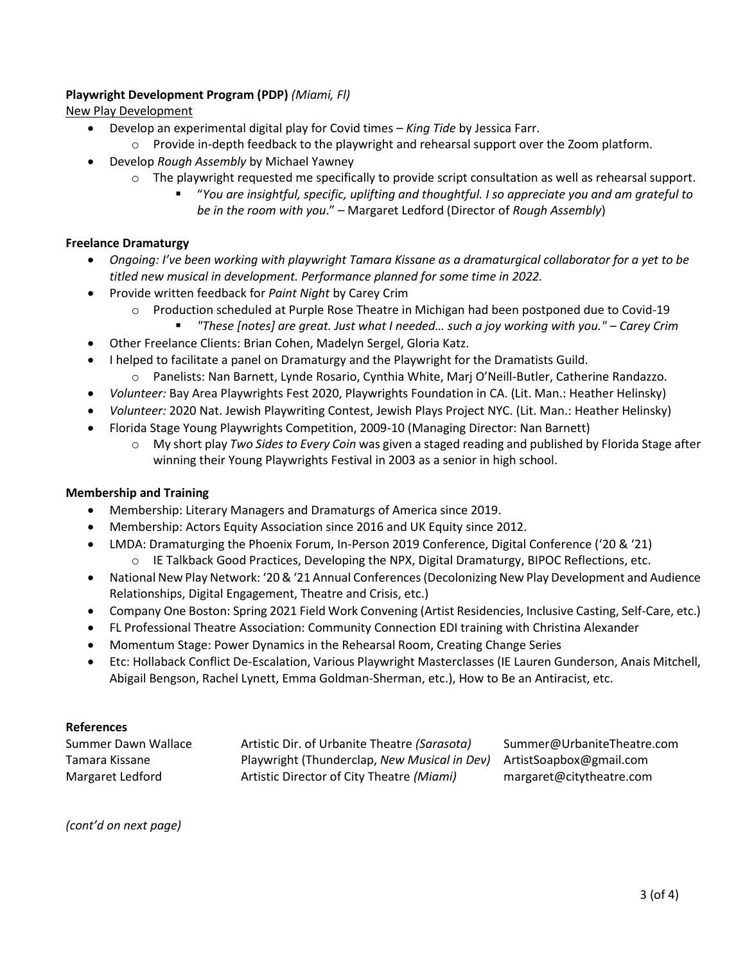### **Playwright Development Program (PDP)** *(Miami, Fl)*

New Play Development

- Develop an experimental digital play for Covid times *King Tide* by Jessica Farr.
	- o Provide in-depth feedback to the playwright and rehearsal support over the Zoom platform.
- Develop *Rough Assembly* by Michael Yawney
	- $\circ$  The playwright requested me specifically to provide script consultation as well as rehearsal support.
		- "*You are insightful, specific, uplifting and thoughtful. I so appreciate you and am grateful to be in the room with you*." – Margaret Ledford (Director of *Rough Assembly*)

### **Freelance Dramaturgy**

- *Ongoing: I've been working with playwright Tamara Kissane as a dramaturgical collaborator for a yet to be titled new musical in development. Performance planned for some time in 2022.*
- Provide written feedback for *Paint Night* by Carey Crim
	- $\circ$  Production scheduled at Purple Rose Theatre in Michigan had been postponed due to Covid-19
		- *"These [notes] are great. Just what I needed… such a joy working with you." – Carey Crim*
- Other Freelance Clients: Brian Cohen, Madelyn Sergel, Gloria Katz.
- I helped to facilitate a panel on Dramaturgy and the Playwright for the Dramatists Guild.
	- o Panelists: Nan Barnett, Lynde Rosario, Cynthia White, Marj O'Neill-Butler, Catherine Randazzo.
- *Volunteer:* Bay Area Playwrights Fest 2020, Playwrights Foundation in CA. (Lit. Man.: Heather Helinsky)
- *Volunteer:* 2020 Nat. Jewish Playwriting Contest, Jewish Plays Project NYC. (Lit. Man.: Heather Helinsky)
- Florida Stage Young Playwrights Competition, 2009-10 (Managing Director: Nan Barnett)
	- o My short play *Two Sides to Every Coin* was given a staged reading and published by Florida Stage after winning their Young Playwrights Festival in 2003 as a senior in high school.

### **Membership and Training**

- Membership: Literary Managers and Dramaturgs of America since 2019.
- Membership: Actors Equity Association since 2016 and UK Equity since 2012.
- LMDA: Dramaturging the Phoenix Forum, In-Person 2019 Conference, Digital Conference ('20 & '21) o IE Talkback Good Practices, Developing the NPX, Digital Dramaturgy, BIPOC Reflections, etc.
- National New Play Network: '20 & '21 Annual Conferences (Decolonizing New Play Development and Audience Relationships, Digital Engagement, Theatre and Crisis, etc.)
- Company One Boston: Spring 2021 Field Work Convening (Artist Residencies, Inclusive Casting, Self-Care, etc.)
- FL Professional Theatre Association: Community Connection EDI training with Christina Alexander
- Momentum Stage: Power Dynamics in the Rehearsal Room, Creating Change Series
- Etc: Hollaback Conflict De-Escalation, Various Playwright Masterclasses (IE Lauren Gunderson, Anais Mitchell, Abigail Bengson, Rachel Lynett, Emma Goldman-Sherman, etc.), How to Be an Antiracist, etc.

### **References**

| Summer Dawn Wallace | Artistic Dir. of Urbanite Theatre (Sarasota)                         | Summer@UrbaniteTheatre.com |
|---------------------|----------------------------------------------------------------------|----------------------------|
| Tamara Kissane      | Playwright (Thunderclap, New Musical in Dev) ArtistSoapbox@gmail.com |                            |
| Margaret Ledford    | Artistic Director of City Theatre (Miami)                            | margaret@citytheatre.com   |

*(cont'd on next page)*